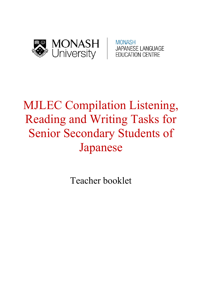

**MONASH JAPANESE LANGUAGE EDUCATION CENTRE** 

# MJLEC Compilation Listening, Reading and Writing Tasks for Senior Secondary Students of Japanese

Teacher booklet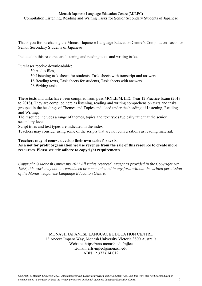Thank you for purchasing the Monash Japanese Language Education Centre's Compilation Tasks for Senior Secondary Students of Japanese

Included in this resource are listening and reading texts and writing tasks.

Purchaser receive downloadable:

- 30 Audio files,
- 30 Listening task sheets for students, Task sheets with transcript and answers
- 18 Reading texts, Task sheets for students, Task sheets with answers
- 28 Writing tasks

These texts and tasks have been compiled from **past** MCJLE/MJLEC Year 12 Practice Exam (2013 to 2018). They are compiled here as listening, reading and writing comprehension texts and tasks grouped in the headings of Themes and Topics and listed under the heading of Listening, Reading and Writing.

The resource includes a range of themes, topics and text types typically taught at the senior secondary level.

Script titles and text types are indicated in the index.

Teachers may consider using some of the scripts that are not conversations as reading material.

#### **Teachers may of course develop their own tasks for texts.**

**As a not for profit organisation we use revenue from the sale of this resource to create more resources. Please strictly adhere to copyright requirements.** 

*Copyright © Monash University 2021 All rights reserved. Except as provided in the Copyright Act 1968, this work may not be reproduced or communicated in any form without the written permission of the Monash Japanese Language Education Centre.* 

> MONASH JAPANESE LANGUAGE EDUCATION CENTRE 12 Ancora Imparo Way, Monash University Victoria 3800 Australia Website: https://arts.monash.edu/mjlec E-mail: arts-mjlec@monash.edu ABN 12 377 614 012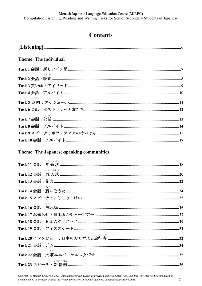# **Contents**

| <b>Theme: The individual</b>                    |  |
|-------------------------------------------------|--|
|                                                 |  |
| えいが                                             |  |
|                                                 |  |
|                                                 |  |
| あんない                                            |  |
|                                                 |  |
| ぶかつ                                             |  |
|                                                 |  |
|                                                 |  |
|                                                 |  |
| <b>Theme: The Japanese-speaking communities</b> |  |

| ねんがじょう |  |
|--------|--|
| せいじんしき |  |
|        |  |
| ふじい    |  |
|        |  |
|        |  |
|        |  |
|        |  |
|        |  |
|        |  |
|        |  |
| さか     |  |
| しんかんせん |  |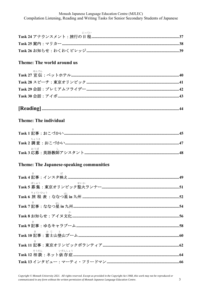Monash Japanese Language Education Centre (MJLEC) Compilation Listening, Reading and Writing Tasks for Senior Secondary Students of Japanese

### Theme: The world around us

| せんでん                                     |
|------------------------------------------|
|                                          |
|                                          |
|                                          |
|                                          |
| <b>Theme: The individual</b>             |
|                                          |
| ちょうさ                                     |
| おうぼ                                      |
| Theme: The Japanese-speaking communities |
|                                          |
|                                          |
| せいか<br>ぼしゅう                              |
|                                          |
|                                          |
|                                          |
|                                          |
| き ふじ と                                   |
|                                          |
|                                          |

 $\overline{3}$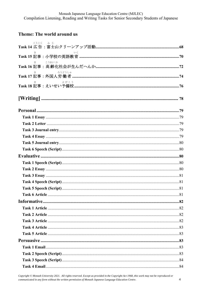Monash Japanese Language Education Centre (MJLEC) Compilation Listening, Reading and Writing Tasks for Senior Secondary Students of Japanese

## Theme: The world around us

| こうこく ふじ                    |  |
|----------------------------|--|
| $\mathcal{V}(\mathcal{A})$ |  |
| こうれいか<br>古                 |  |
| ろうどうしゃ                     |  |
| よびこう<br>き                  |  |
|                            |  |
|                            |  |
|                            |  |
|                            |  |
|                            |  |
|                            |  |
|                            |  |
|                            |  |
|                            |  |
|                            |  |
|                            |  |
|                            |  |
|                            |  |
|                            |  |
|                            |  |
|                            |  |
|                            |  |
|                            |  |
|                            |  |
|                            |  |
|                            |  |
|                            |  |
|                            |  |
|                            |  |
|                            |  |
|                            |  |

Copyright © Monash University 2021. All rights reserved. Except as provided in the Copyright Act 1968, this work may not be reproduced or communicated in any form without the written permission of Monash Japanese Language Education Centre.